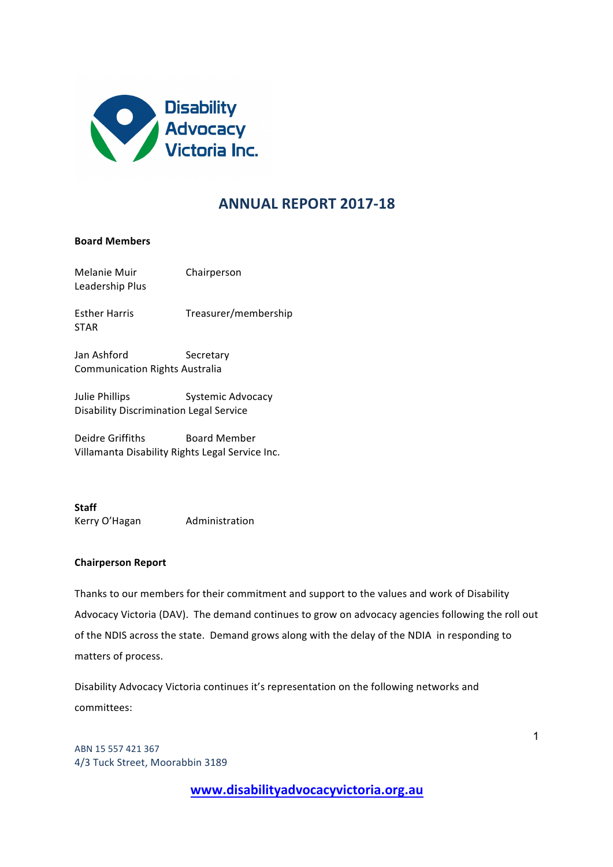

# **ANNUAL REPORT 2017-18**

## **Board Members**

| Melanie Muir<br>Leadership Plus                                  | Chairperson          |
|------------------------------------------------------------------|----------------------|
| <b>Esther Harris</b><br><b>STAR</b>                              | Treasurer/membership |
| Jan Ashford<br><b>Communication Rights Australia</b>             | Secretary            |
| Julie Phillips<br><b>Disability Discrimination Legal Service</b> | Systemic Advocacy    |
| Deidre Griffiths                                                 | Board Member         |

Villamanta Disability Rights Legal Service Inc.

**Staff**  Kerry O'Hagan Administration

### **Chairperson Report**

Thanks to our members for their commitment and support to the values and work of Disability Advocacy Victoria (DAV). The demand continues to grow on advocacy agencies following the roll out of the NDIS across the state. Demand grows along with the delay of the NDIA in responding to matters of process.

Disability Advocacy Victoria continues it's representation on the following networks and committees:

ABN 15 557 421 367 4/3 Tuck Street, Moorabbin 3189

**www.disabilityadvocacyvictoria.org.au**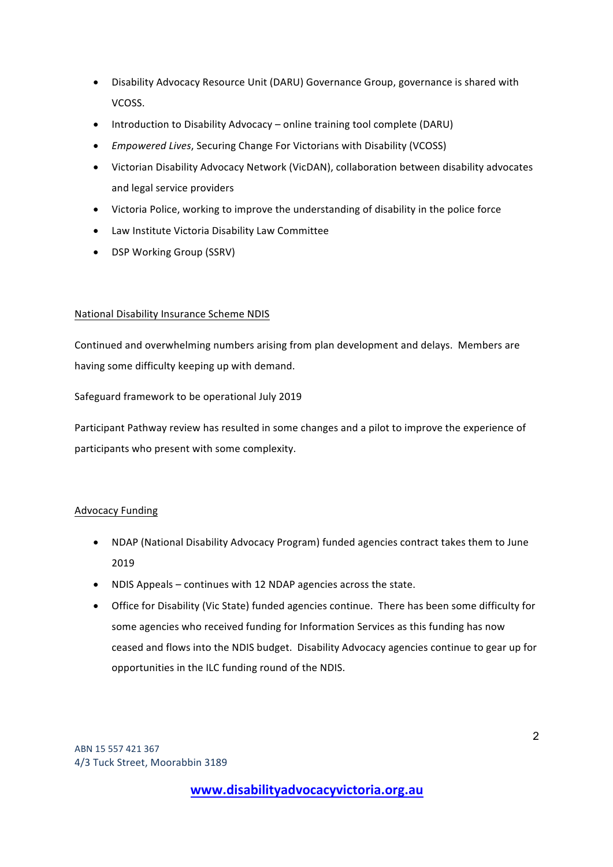- Disability Advocacy Resource Unit (DARU) Governance Group, governance is shared with VCOSS.
- Introduction to Disability Advocacy online training tool complete (DARU)
- *Empowered Lives*, Securing Change For Victorians with Disability (VCOSS)
- Victorian Disability Advocacy Network (VicDAN), collaboration between disability advocates and legal service providers
- Victoria Police, working to improve the understanding of disability in the police force
- Law Institute Victoria Disability Law Committee
- DSP Working Group (SSRV)

## National Disability Insurance Scheme NDIS

Continued and overwhelming numbers arising from plan development and delays. Members are having some difficulty keeping up with demand.

Safeguard framework to be operational July 2019

Participant Pathway review has resulted in some changes and a pilot to improve the experience of participants who present with some complexity.

## Advocacy Funding

- NDAP (National Disability Advocacy Program) funded agencies contract takes them to June 2019
- NDIS Appeals continues with 12 NDAP agencies across the state.
- Office for Disability (Vic State) funded agencies continue. There has been some difficulty for some agencies who received funding for Information Services as this funding has now ceased and flows into the NDIS budget. Disability Advocacy agencies continue to gear up for opportunities in the ILC funding round of the NDIS.